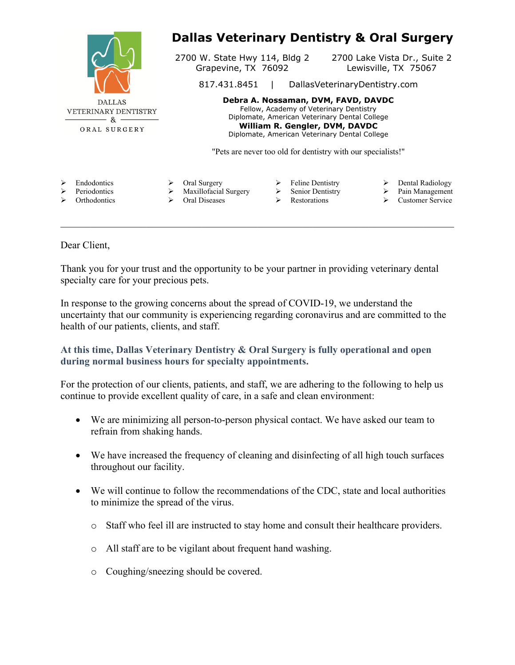|                                                                                            |                                                                                                                                                                                                                    |                                                                              | <b>Dallas Veterinary Dentistry &amp; Oral Surgery</b>        |
|--------------------------------------------------------------------------------------------|--------------------------------------------------------------------------------------------------------------------------------------------------------------------------------------------------------------------|------------------------------------------------------------------------------|--------------------------------------------------------------|
|                                                                                            | 2700 W. State Hwy 114, Bldg 2<br>Grapevine, TX 76092                                                                                                                                                               |                                                                              | 2700 Lake Vista Dr., Suite 2<br>Lewisville, TX 75067         |
|                                                                                            | 817.431.8451<br>DallasVeterinaryDentistry.com                                                                                                                                                                      |                                                                              |                                                              |
| <b>DALLAS</b><br><b>VETERINARY DENTISTRY</b><br>$\mathcal{R}_{\mathbf{X}}$<br>ORAL SURGERY | Debra A. Nossaman, DVM, FAVD, DAVDC<br>Fellow, Academy of Veterinary Dentistry<br>Diplomate, American Veterinary Dental College<br>William R. Gengler, DVM, DAVDC<br>Diplomate, American Veterinary Dental College |                                                                              |                                                              |
|                                                                                            | "Pets are never too old for dentistry with our specialists!"                                                                                                                                                       |                                                                              |                                                              |
| ⋗<br><b>Endodontics</b><br>Periodontics<br>⋗<br>Orthodontics<br>⋗                          | Oral Surgery<br>Maxillofacial Surgery<br>Oral Diseases                                                                                                                                                             | <b>Feline Dentistry</b><br>➤<br>Senior Dentistry<br>➤<br><b>Restorations</b> | Dental Radiology<br>➤<br>Pain Management<br>Customer Service |

## Dear Client,

Thank you for your trust and the opportunity to be your partner in providing veterinary dental specialty care for your precious pets.

In response to the growing concerns about the spread of COVID-19, we understand the uncertainty that our community is experiencing regarding coronavirus and are committed to the health of our patients, clients, and staff.

## **At this time, Dallas Veterinary Dentistry & Oral Surgery is fully operational and open during normal business hours for specialty appointments.**

For the protection of our clients, patients, and staff, we are adhering to the following to help us continue to provide excellent quality of care, in a safe and clean environment:

- We are minimizing all person-to-person physical contact. We have asked our team to refrain from shaking hands.
- We have increased the frequency of cleaning and disinfecting of all high touch surfaces throughout our facility.
- We will continue to follow the recommendations of the CDC, state and local authorities to minimize the spread of the virus.
	- o Staff who feel ill are instructed to stay home and consult their healthcare providers.
	- o All staff are to be vigilant about frequent hand washing.
	- o Coughing/sneezing should be covered.